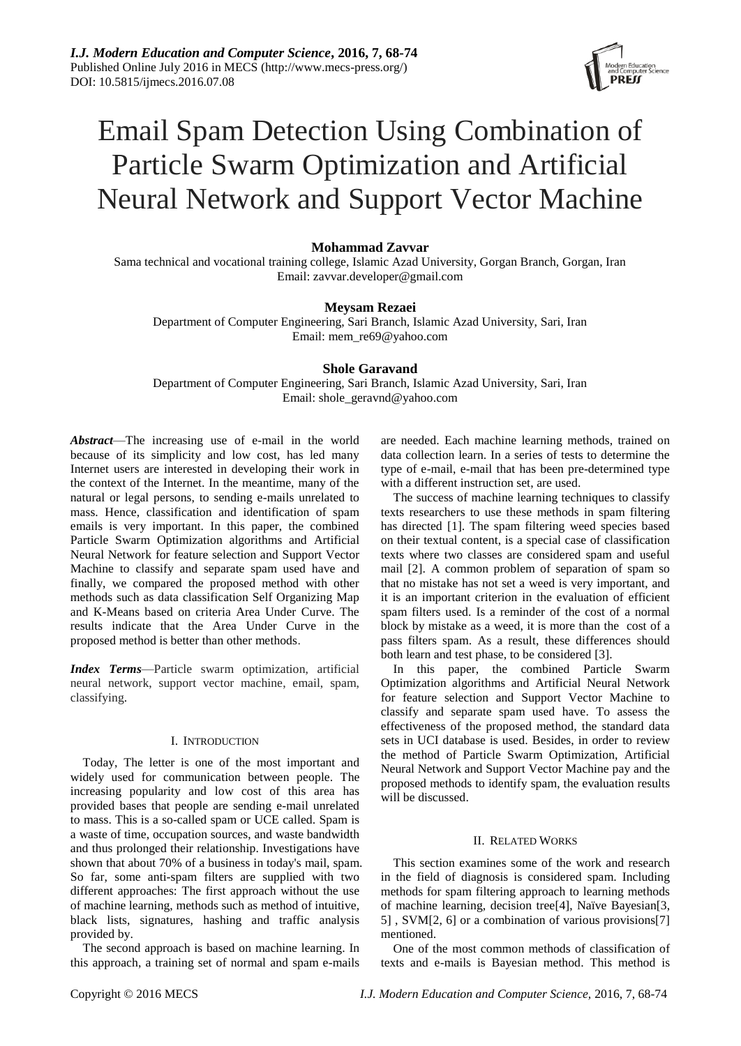

# Email Spam Detection Using Combination of Particle Swarm Optimization and Artificial Neural Network and Support Vector Machine

# **Mohammad Zavvar**

Sama technical and vocational training college, Islamic Azad University, Gorgan Branch, Gorgan, Iran Email: zavvar.developer@gmail.com

# **Meysam Rezaei**

Department of Computer Engineering, Sari Branch, Islamic Azad University, Sari, Iran Email: mem\_re69@yahoo.com

# **Shole Garavand**

Department of Computer Engineering, Sari Branch, Islamic Azad University, Sari, Iran Email: shole\_geravnd@yahoo.com

*Abstract*—The increasing use of e-mail in the world because of its simplicity and low cost, has led many Internet users are interested in developing their work in the context of the Internet. In the meantime, many of the natural or legal persons, to sending e-mails unrelated to mass. Hence, classification and identification of spam emails is very important. In this paper, the combined Particle Swarm Optimization algorithms and Artificial Neural Network for feature selection and Support Vector Machine to classify and separate spam used have and finally, we compared the proposed method with other methods such as data classification Self Organizing Map and K-Means based on criteria Area Under Curve. The results indicate that the Area Under Curve in the proposed method is better than other methods.

*Index Terms*—Particle swarm optimization, artificial neural network, support vector machine, email, spam, classifying.

# I. INTRODUCTION

Today, The letter is one of the most important and widely used for communication between people. The increasing popularity and low cost of this area has provided bases that people are sending e-mail unrelated to mass. This is a so-called spam or UCE called. Spam is a waste of time, occupation sources, and waste bandwidth and thus prolonged their relationship. Investigations have shown that about 70% of a business in today's mail, spam. So far, some anti-spam filters are supplied with two different approaches: The first approach without the use of machine learning, methods such as method of intuitive, black lists, signatures, hashing and traffic analysis provided by.

The second approach is based on machine learning. In this approach, a training set of normal and spam e-mails are needed. Each machine learning methods, trained on data collection learn. In a series of tests to determine the type of e-mail, e-mail that has been pre-determined type with a different instruction set, are used.

The success of machine learning techniques to classify texts researchers to use these methods in spam filtering has directed [\[1\]](#page-5-0). The spam filtering weed species based on their textual content, is a special case of classification texts where two classes are considered spam and useful mail [\[2\]](#page-5-1). A common problem of separation of spam so that no mistake has not set a weed is very important, and it is an important criterion in the evaluation of efficient spam filters used. Is a reminder of the cost of a normal block by mistake as a weed, it is more than the cost of a pass filters spam. As a result, these differences should both learn and test phase, to be considered [\[3\]](#page-5-2).

In this paper, the combined Particle Swarm Optimization algorithms and Artificial Neural Network for feature selection and Support Vector Machine to classify and separate spam used have. To assess the effectiveness of the proposed method, the standard data sets in UCI database is used. Besides, in order to review the method of Particle Swarm Optimization, Artificial Neural Network and Support Vector Machine pay and the proposed methods to identify spam, the evaluation results will be discussed.

## II. RELATED WORKS

This section examines some of the work and research in the field of diagnosis is considered spam. Including methods for spam filtering approach to learning methods of machine learning, decision tree<sup>[\[4\]](#page-5-3)</sup>, Na  $\ddot{v}$ e Bayesian<sup>[3</sup>], [5\]](#page-5-4) , SVM[\[2,](#page-5-1) [6\]](#page-5-5) or a combination of various provisions[\[7\]](#page-5-6) mentioned.

One of the most common methods of classification of texts and e-mails is Bayesian method. This method is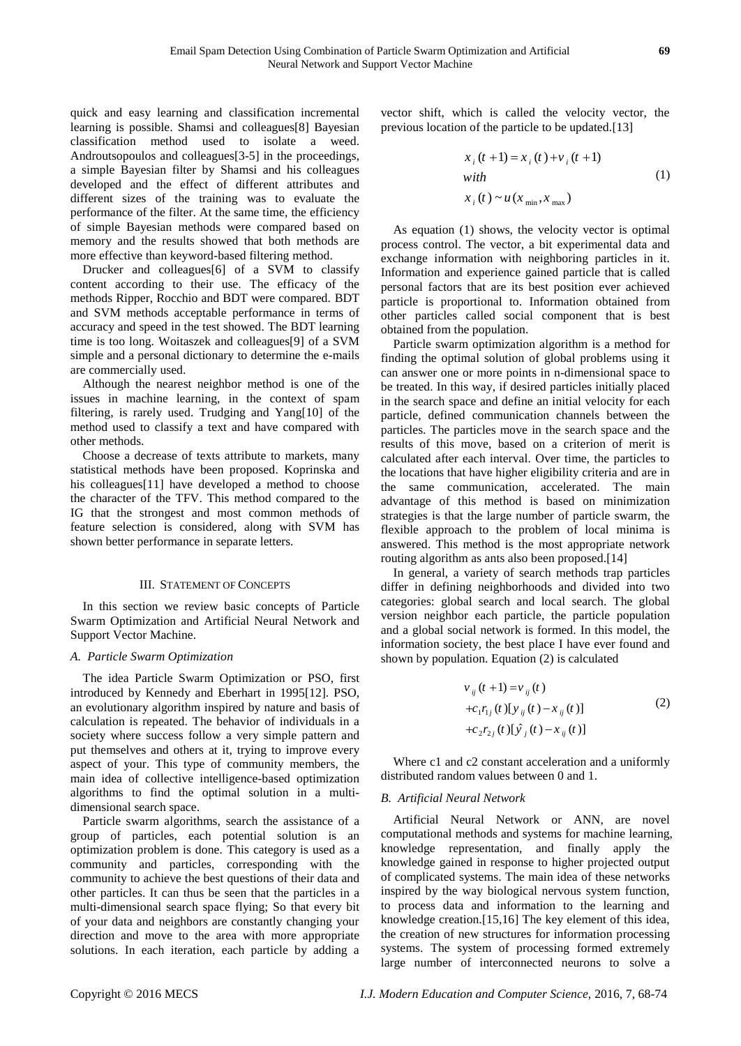quick and easy learning and classification incremental learning is possible. Shamsi and colleagues[\[8\]](#page-5-7) Bayesian classification method used to isolate a weed. Androutsopoulos and colleagues[\[3-5\]](#page-5-2) in the proceedings, a simple Bayesian filter by Shamsi and his colleagues developed and the effect of different attributes and different sizes of the training was to evaluate the performance of the filter. At the same time, the efficiency of simple Bayesian methods were compared based on memory and the results showed that both methods are more effective than keyword-based filtering method.

Drucker and colleagues[\[6\]](#page-5-5) of a SVM to classify content according to their use. The efficacy of the methods Ripper, Rocchio and BDT were compared. BDT and SVM methods acceptable performance in terms of accuracy and speed in the test showed. The BDT learning time is too long. Woitaszek and colleagues[\[9\]](#page-5-8) of a SVM simple and a personal dictionary to determine the e-mails are commercially used.

Although the nearest neighbor method is one of the issues in machine learning, in the context of spam filtering, is rarely used. Trudging and Yang[\[10\]](#page-5-9) of the method used to classify a text and have compared with other methods.

Choose a decrease of texts attribute to markets, many statistical methods have been proposed. Koprinska and his colleagues[\[11\]](#page-5-10) have developed a method to choose the character of the TFV. This method compared to the IG that the strongest and most common methods of feature selection is considered, along with SVM has shown better performance in separate letters.

## III. STATEMENT OF CONCEPTS

In this section we review basic concepts of Particle Swarm Optimization and Artificial Neural Network and Support Vector Machine.

## *A. Particle Swarm Optimization*

The idea Particle Swarm Optimization or PSO, first introduced by Kennedy and Eberhart in 1995[\[12\]](#page-5-11). PSO, an evolutionary algorithm inspired by nature and basis of calculation is repeated. The behavior of individuals in a society where success follow a very simple pattern and put themselves and others at it, trying to improve every aspect of your. This type of community members, the main idea of collective intelligence-based optimization algorithms to find the optimal solution in a multidimensional search space.

Particle swarm algorithms, search the assistance of a group of particles, each potential solution is an optimization problem is done. This category is used as a community and particles, corresponding with the community to achieve the best questions of their data and other particles. It can thus be seen that the particles in a multi-dimensional search space flying; So that every bit of your data and neighbors are constantly changing your direction and move to the area with more appropriate solutions. In each iteration, each particle by adding a

vector shift, which is called the velocity vector, the previous location of the particle to be updated.[\[13\]](#page-5-12)

$$
x_i(t+1) = x_i(t) + v_i(t+1)
$$
  
\nwith  
\n
$$
x_i(t) \sim u(x_{min}, x_{max})
$$
\n(1)

As equation (1) shows, the velocity vector is optimal process control. The vector, a bit experimental data and exchange information with neighboring particles in it. Information and experience gained particle that is called personal factors that are its best position ever achieved particle is proportional to. Information obtained from other particles called social component that is best obtained from the population.

Particle swarm optimization algorithm is a method for finding the optimal solution of global problems using it can answer one or more points in n-dimensional space to be treated. In this way, if desired particles initially placed in the search space and define an initial velocity for each particle, defined communication channels between the particles. The particles move in the search space and the results of this move, based on a criterion of merit is calculated after each interval. Over time, the particles to the locations that have higher eligibility criteria and are in the same communication, accelerated. The main advantage of this method is based on minimization strategies is that the large number of particle swarm, the flexible approach to the problem of local minima is answered. This method is the most appropriate network routing algorithm as ants also been proposed.[\[14\]](#page-5-13)

In general, a variety of search methods trap particles differ in defining neighborhoods and divided into two categories: global search and local search. The global version neighbor each particle, the particle population and a global social network is formed. In this model, the information society, the best place I have ever found and shown by population. Equation (2) is calculated

$$
v_{ij}(t+1) = v_{ij}(t) +c_1r_{1j}(t)[y_{ij}(t) - x_{ij}(t)] +c_2r_{2j}(t)[\hat{y}_{j}(t) - x_{ij}(t)]
$$
\n(2)

Where c1 and c2 constant acceleration and a uniformly distributed random values between 0 and 1.

## *B. Artificial Neural Network*

Artificial Neural Network or ANN, are novel computational methods and systems for machine learning, knowledge representation, and finally apply the knowledge gained in response to higher projected output of complicated systems. The main idea of these networks inspired by the way biological nervous system function, to process data and information to the learning and knowledge creation.[\[15,](#page-5-14)16] The key element of this idea, the creation of new structures for information processing systems. The system of processing formed extremely large number of interconnected neurons to solve a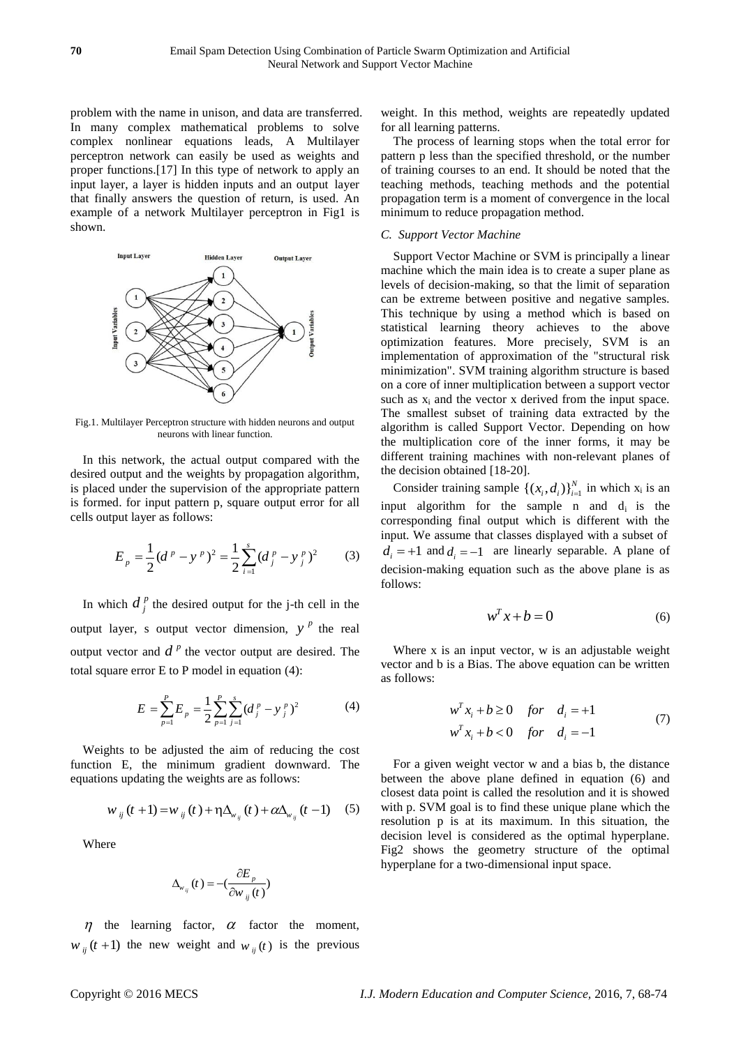problem with the name in unison, and data are transferred. In many complex mathematical problems to solve complex nonlinear equations leads, A Multilayer perceptron network can easily be used as weights and proper functions.[\[17\]](#page-6-0) In this type of network to apply an input layer, a layer is hidden inputs and an output layer that finally answers the question of return, is used. An example of a network Multilayer perceptron in Fig1 is shown.



Fig.1. Multilayer Perceptron structure with hidden neurons and output neurons with linear function.

In this network, the actual output compared with the desired output and the weights by propagation algorithm, is placed under the supervision of the appropriate pattern is formed. for input pattern p, square output error for all cells output layer as follows:

$$
E_p = \frac{1}{2} (d^p - y^p)^2 = \frac{1}{2} \sum_{i=1}^s (d_j^p - y_j^p)^2
$$
 (3)

In which  $d_j^p$  the desired output for the j-th cell in the output layer, s output vector dimension,  $y^p$  the real output vector and  $d^p$  the vector output are desired. The total square error E to P model in equation (4):

$$
E = \sum_{p=1}^{P} E_p = \frac{1}{2} \sum_{p=1}^{P} \sum_{j=1}^{s} (d_j^p - y_j^p)^2
$$
 (4)

Weights to be adjusted the aim of reducing the cost function E, the minimum gradient downward. The equations updating the weights are as follows:

$$
w_{ij}(t+1) = w_{ij}(t) + \eta \Delta_{w_{ij}}(t) + \alpha \Delta_{w_{ij}}(t-1)
$$
 (5)

Where

$$
\Delta_{w_{ij}}(t) = -\left(\frac{\partial E_p}{\partial w_{ij}(t)}\right)
$$

 $\eta$  the learning factor,  $\alpha$  factor the moment,  $w_{ij}(t+1)$  the new weight and  $w_{ij}(t)$  is the previous weight. In this method, weights are repeatedly updated for all learning patterns.

The process of learning stops when the total error for pattern p less than the specified threshold, or the number of training courses to an end. It should be noted that the teaching methods, teaching methods and the potential propagation term is a moment of convergence in the local minimum to reduce propagation method.

## *C. Support Vector Machine*

Support Vector Machine or SVM is principally a linear machine which the main idea is to create a super plane as levels of decision-making, so that the limit of separation can be extreme between positive and negative samples. This technique by using a method which is based on statistical learning theory achieves to the above optimization features. More precisely, SVM is an implementation of approximation of the "structural risk minimization". SVM training algorithm structure is based on a core of inner multiplication between a support vector such as  $x_i$  and the vector x derived from the input space. The smallest subset of training data extracted by the algorithm is called Support Vector. Depending on how the multiplication core of the inner forms, it may be different training machines with non-relevant planes of the decision obtained [\[18-20\]](#page-6-1).

Consider training sample  $\{(x_i, d_i)\}_{i=1}^N$  in which  $x_i$  is an input algorithm for the sample n and  $d_i$  is the corresponding final output which is different with the input. We assume that classes displayed with a subset of  $d_i = +1$  and  $d_i = -1$  are linearly separable. A plane of decision-making equation such as the above plane is as follows:

$$
w^T x + b = 0 \tag{6}
$$

Where x is an input vector, w is an adjustable weight vector and b is a Bias. The above equation can be written as follows:

$$
w^{T}x_{i} + b \ge 0 \quad \text{for} \quad d_{i} = +1
$$
  

$$
w^{T}x_{i} + b < 0 \quad \text{for} \quad d_{i} = -1
$$
 (7)

For a given weight vector w and a bias b, the distance between the above plane defined in equation (6) and closest data point is called the resolution and it is showed with p. SVM goal is to find these unique plane which the resolution p is at its maximum. In this situation, the decision level is considered as the optimal hyperplane. Fig2 shows the geometry structure of the optimal hyperplane for a two-dimensional input space.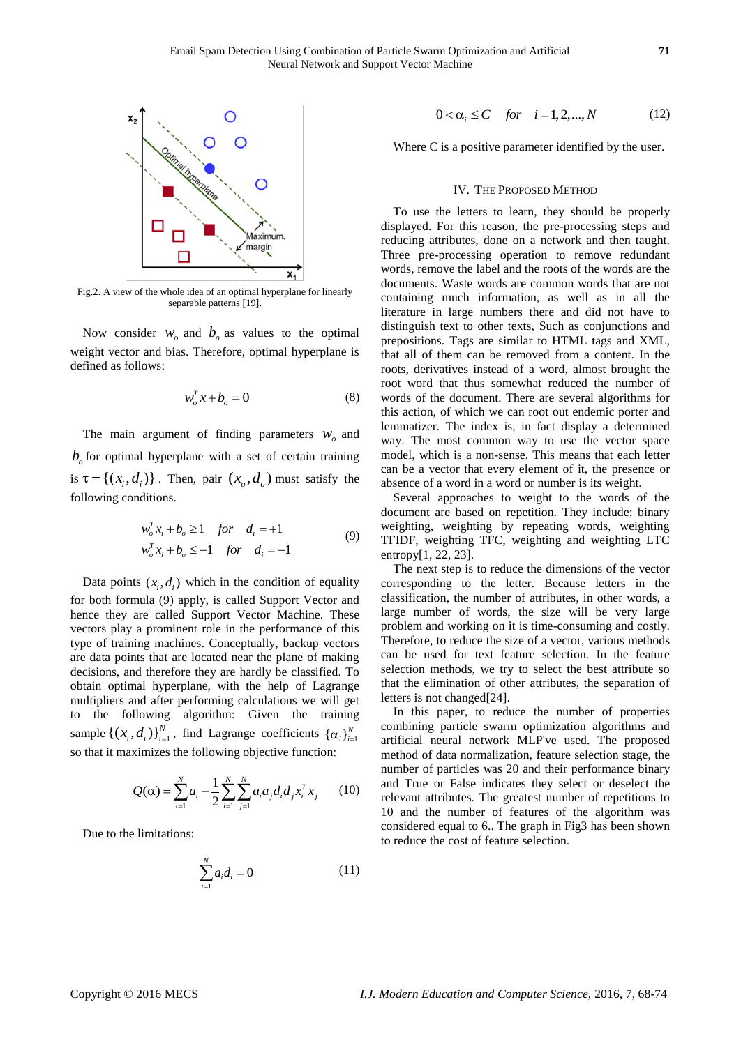

Fig.2. A view of the whole idea of an optimal hyperplane for linearly separable patterns [\[19\]](#page-6-2).

Now consider  $W_0$  and  $b_0$  as values to the optimal weight vector and bias. Therefore, optimal hyperplane is defined as follows:

$$
w_o^T x + b_o = 0 \tag{8}
$$

The main argument of finding parameters  $W_0$  and  $b<sub>o</sub>$  for optimal hyperplane with a set of certain training is  $\tau = \{ (x_i, d_i) \}$ . Then, pair  $(x_o, d_o)$  must satisfy the following conditions.

$$
w_o^T x_i + b_o \ge 1 \quad \text{for} \quad d_i = +1
$$
  

$$
w_o^T x_i + b_o \le -1 \quad \text{for} \quad d_i = -1
$$
 (9)

Data points  $(x_i, d_i)$  which in the condition of equality for both formula (9) apply, is called Support Vector and hence they are called Support Vector Machine. These vectors play a prominent role in the performance of this type of training machines. Conceptually, backup vectors are data points that are located near the plane of making decisions, and therefore they are hardly be classified. To obtain optimal hyperplane, with the help of Lagrange multipliers and after performing calculations we will get to the following algorithm: Given the training sample  $\{(x_i, d_i)\}_{i=1}^N$ , find Lagrange coefficients  $\{\alpha_i\}_{i=1}^N$ so that it maximizes the following objective function:

$$
Q(\alpha) = \sum_{i=1}^{N} a_i - \frac{1}{2} \sum_{i=1}^{N} \sum_{j=1}^{N} a_i a_j d_i d_j x_i^T x_j
$$
 (10)

Due to the limitations:

$$
\sum_{i=1}^{N} a_i d_i = 0 \tag{11}
$$

$$
0 < \alpha_i \le C \quad \text{for} \quad i = 1, 2, \dots, N \tag{12}
$$

Where C is a positive parameter identified by the user.

#### IV. THE PROPOSED METHOD

To use the letters to learn, they should be properly displayed. For this reason, the pre-processing steps and reducing attributes, done on a network and then taught. Three pre-processing operation to remove redundant words, remove the label and the roots of the words are the documents. Waste words are common words that are not containing much information, as well as in all the literature in large numbers there and did not have to distinguish text to other texts, Such as conjunctions and prepositions. Tags are similar to HTML tags and XML, that all of them can be removed from a content. In the roots, derivatives instead of a word, almost brought the root word that thus somewhat reduced the number of words of the document. There are several algorithms for this action, of which we can root out endemic porter and lemmatizer. The index is, in fact display a determined way. The most common way to use the vector space model, which is a non-sense. This means that each letter can be a vector that every element of it, the presence or absence of a word in a word or number is its weight.

Several approaches to weight to the words of the document are based on repetition. They include: binary weighting, weighting by repeating words, weighting TFIDF, weighting TFC, weighting and weighting LTC entropy[\[1,](#page-5-0) [22,](#page-6-1) [23\]](#page-6-2).

The next step is to reduce the dimensions of the vector corresponding to the letter. Because letters in the classification, the number of attributes, in other words, a large number of words, the size will be very large problem and working on it is time-consuming and costly. Therefore, to reduce the size of a vector, various methods can be used for text feature selection. In the feature selection methods, we try to select the best attribute so that the elimination of other attributes, the separation of letters is not changed[\[24\]](#page-6-3).

In this paper, to reduce the number of properties combining particle swarm optimization algorithms and artificial neural network MLP've used. The proposed method of data normalization, feature selection stage, the number of particles was 20 and their performance binary and True or False indicates they select or deselect the relevant attributes. The greatest number of repetitions to 10 and the number of features of the algorithm was considered equal to 6.. The graph in Fig3 has been shown to reduce the cost of feature selection.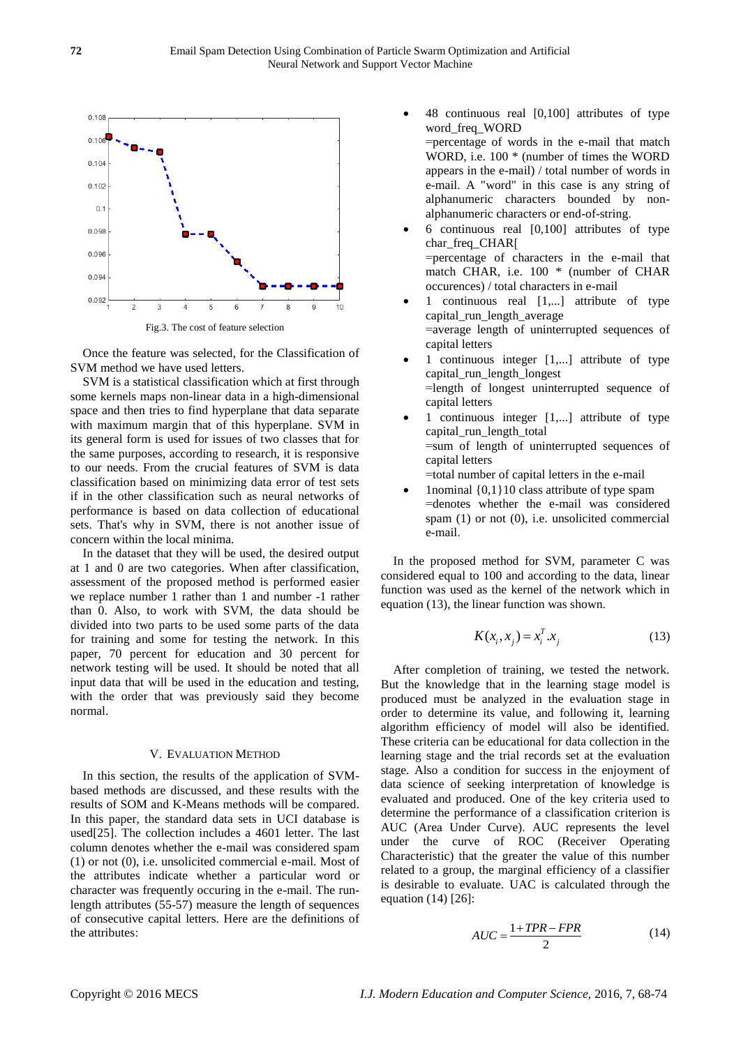

Fig.3. The cost of feature selection

Once the feature was selected, for the Classification of SVM method we have used letters.

SVM is a statistical classification which at first through some kernels maps non-linear data in a high-dimensional space and then tries to find hyperplane that data separate with maximum margin that of this hyperplane. SVM in its general form is used for issues of two classes that for the same purposes, according to research, it is responsive to our needs. From the crucial features of SVM is data classification based on minimizing data error of test sets if in the other classification such as neural networks of performance is based on data collection of educational sets. That's why in SVM, there is not another issue of concern within the local minima.

In the dataset that they will be used, the desired output at 1 and 0 are two categories. When after classification, assessment of the proposed method is performed easier we replace number 1 rather than 1 and number -1 rather than 0. Also, to work with SVM, the data should be divided into two parts to be used some parts of the data for training and some for testing the network. In this paper, 70 percent for education and 30 percent for network testing will be used. It should be noted that all input data that will be used in the education and testing, with the order that was previously said they become normal.

#### V. EVALUATION METHOD

In this section, the results of the application of SVMbased methods are discussed, and these results with the results of SOM and K-Means methods will be compared. In this paper, the standard data sets in UCI database is used[\[25\]](#page-6-4). The collection includes a 4601 letter. The last column denotes whether the e-mail was considered spam (1) or not (0), i.e. unsolicited commercial e-mail. Most of the attributes indicate whether a particular word or character was frequently occuring in the e-mail. The runlength attributes (55-57) measure the length of sequences of consecutive capital letters. Here are the definitions of the attributes:

- 48 continuous real [0,100] attributes of type word\_freq\_WORD =percentage of words in the e-mail that match WORD, i.e. 100 \* (number of times the WORD appears in the e-mail) / total number of words in e-mail. A "word" in this case is any string of alphanumeric characters bounded by nonalphanumeric characters or end-of-string.
- 6 continuous real [0,100] attributes of type char freq CHAR<sup>[</sup> =percentage of characters in the e-mail that match CHAR, i.e. 100 \* (number of CHAR occurences) / total characters in e-mail
- 1 continuous real [1,...] attribute of type capital\_run\_length\_average =average length of uninterrupted sequences of capital letters
- 1 continuous integer [1,...] attribute of type capital\_run\_length\_longest =length of longest uninterrupted sequence of capital letters
- 1 continuous integer [1,...] attribute of type capital run length total =sum of length of uninterrupted sequences of capital letters
- =total number of capital letters in the e-mail
- 1nominal {0,1}10 class attribute of type spam =denotes whether the e-mail was considered spam (1) or not (0), i.e. unsolicited commercial e-mail.

In the proposed method for SVM, parameter C was considered equal to 100 and according to the data, linear function was used as the kernel of the network which in equation (13), the linear function was shown.

$$
K(x_i, x_j) = x_i^T \cdot x_j \tag{13}
$$

After completion of training, we tested the network. But the knowledge that in the learning stage model is produced must be analyzed in the evaluation stage in order to determine its value, and following it, learning algorithm efficiency of model will also be identified. These criteria can be educational for data collection in the learning stage and the trial records set at the evaluation stage. Also a condition for success in the enjoyment of data science of seeking interpretation of knowledge is evaluated and produced. One of the key criteria used to determine the performance of a classification criterion is AUC (Area Under Curve). AUC represents the level under the curve of ROC (Receiver Operating Characteristic) that the greater the value of this number related to a group, the marginal efficiency of a classifier is desirable to evaluate. UAC is calculated through the equation (14) [\[26\]](#page-6-4):

$$
AUC = \frac{1 + TPR - FPR}{2} \tag{14}
$$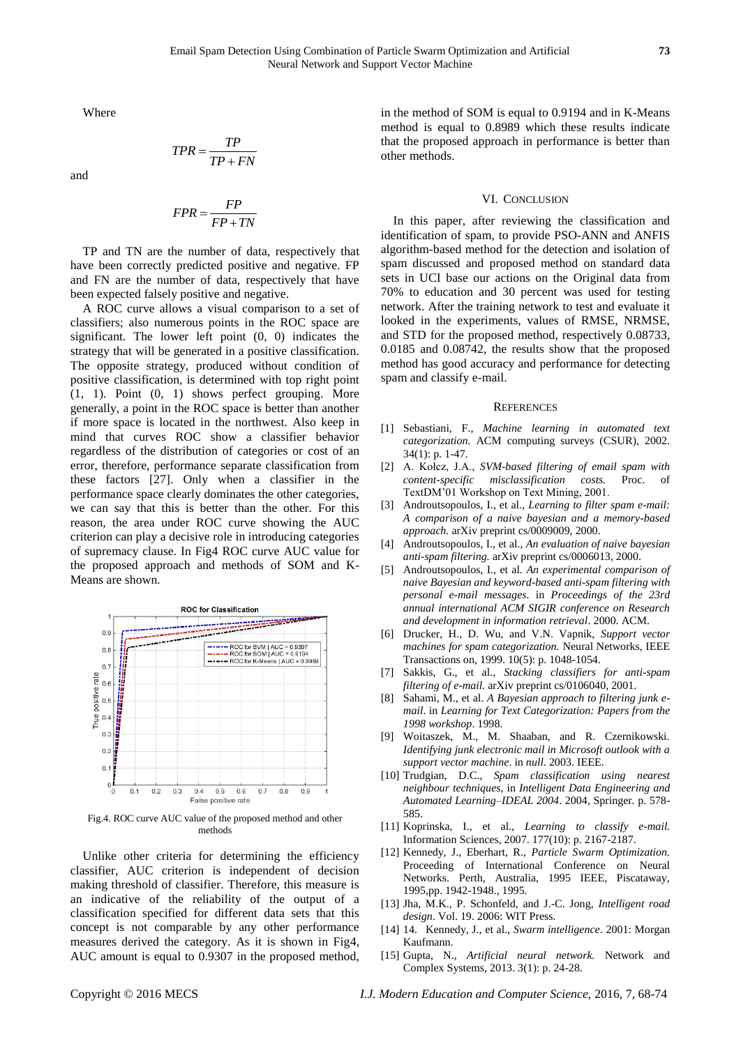Where

$$
TPR = \frac{TP}{TP + FN}
$$

and

$$
FPR = \frac{FP}{FP + TN}
$$

TP and TN are the number of data, respectively that have been correctly predicted positive and negative. FP and FN are the number of data, respectively that have been expected falsely positive and negative.

A ROC curve allows a visual comparison to a set of classifiers; also numerous points in the ROC space are significant. The lower left point (0, 0) indicates the strategy that will be generated in a positive classification. The opposite strategy, produced without condition of positive classification, is determined with top right point (1, 1). Point (0, 1) shows perfect grouping. More generally, a point in the ROC space is better than another if more space is located in the northwest. Also keep in mind that curves ROC show a classifier behavior regardless of the distribution of categories or cost of an error, therefore, performance separate classification from these factors [27]. Only when a classifier in the performance space clearly dominates the other categories, we can say that this is better than the other. For this reason, the area under ROC curve showing the AUC criterion can play a decisive role in introducing categories of supremacy clause. In Fig4 ROC curve AUC value for the proposed approach and methods of SOM and K-Means are shown.



Fig.4. ROC curve AUC value of the proposed method and other methods

Unlike other criteria for determining the efficiency classifier, AUC criterion is independent of decision making threshold of classifier. Therefore, this measure is an indicative of the reliability of the output of a classification specified for different data sets that this concept is not comparable by any other performance measures derived the category. As it is shown in Fig4, AUC amount is equal to 0.9307 in the proposed method,

in the method of SOM is equal to 0.9194 and in K-Means method is equal to 0.8989 which these results indicate that the proposed approach in performance is better than other methods.

#### VI. CONCLUSION

In this paper, after reviewing the classification and identification of spam, to provide PSO-ANN and ANFIS algorithm-based method for the detection and isolation of spam discussed and proposed method on standard data sets in UCI base our actions on the Original data from 70% to education and 30 percent was used for testing network. After the training network to test and evaluate it looked in the experiments, values of RMSE, NRMSE, and STD for the proposed method, respectively 0.08733, 0.0185 and 0.08742, the results show that the proposed method has good accuracy and performance for detecting spam and classify e-mail.

#### **REFERENCES**

- <span id="page-5-0"></span>[1] Sebastiani, F., *Machine learning in automated text categorization.* ACM computing surveys (CSUR), 2002. 34(1): p. 1-47.
- <span id="page-5-1"></span>[2] A. Kołcz, J.A., *SVM-based filtering of email spam with content-specific misclassification costs.* Proc. of TextDM'01 Workshop on Text Mining, 2001.
- <span id="page-5-2"></span>[3] Androutsopoulos, I., et al., *Learning to filter spam e-mail: A comparison of a naive bayesian and a memory-based approach.* arXiv preprint cs/0009009, 2000.
- <span id="page-5-3"></span>[4] Androutsopoulos, I., et al., *An evaluation of naive bayesian anti-spam filtering.* arXiv preprint cs/0006013, 2000.
- <span id="page-5-4"></span>[5] Androutsopoulos, I., et al. *An experimental comparison of naive Bayesian and keyword-based anti-spam filtering with personal e-mail messages*. in *Proceedings of the 23rd annual international ACM SIGIR conference on Research and development in information retrieval*. 2000. ACM.
- <span id="page-5-5"></span>[6] Drucker, H., D. Wu, and V.N. Vapnik, *Support vector machines for spam categorization.* Neural Networks, IEEE Transactions on, 1999. 10(5): p. 1048-1054.
- <span id="page-5-6"></span>[7] Sakkis, G., et al., *Stacking classifiers for anti-spam filtering of e-mail.* arXiv preprint cs/0106040, 2001.
- <span id="page-5-7"></span>[8] Sahami, M., et al. *A Bayesian approach to filtering junk email*. in *Learning for Text Categorization: Papers from the 1998 workshop*. 1998.
- <span id="page-5-8"></span>[9] Woitaszek, M., M. Shaaban, and R. Czernikowski. *Identifying junk electronic mail in Microsoft outlook with a support vector machine*. in *null*. 2003. IEEE.
- <span id="page-5-9"></span>[10] Trudgian, D.C., *Spam classification using nearest neighbour techniques*, in *Intelligent Data Engineering and Automated Learning–IDEAL 2004*. 2004, Springer. p. 578- 585.
- <span id="page-5-10"></span>[11] Koprinska, I., et al., *Learning to classify e-mail.* Information Sciences, 2007. 177(10): p. 2167-2187.
- <span id="page-5-11"></span>[12] Kennedy, J., Eberhart, R., *Particle Swarm Optimization.* Proceeding of International Conference on Neural Networks. Perth, Australia, 1995 IEEE, Piscataway, 1995,pp. 1942-1948., 1995.
- <span id="page-5-12"></span>[13] Jha, M.K., P. Schonfeld, and J.-C. Jong, *Intelligent road design*. Vol. 19. 2006: WIT Press.
- <span id="page-5-13"></span>[14] 14. Kennedy, J., et al., *Swarm intelligence*. 2001: Morgan Kaufmann.
- <span id="page-5-14"></span>[15] Gupta, N., *Artificial neural network.* Network and Complex Systems, 2013. 3(1): p. 24-28.